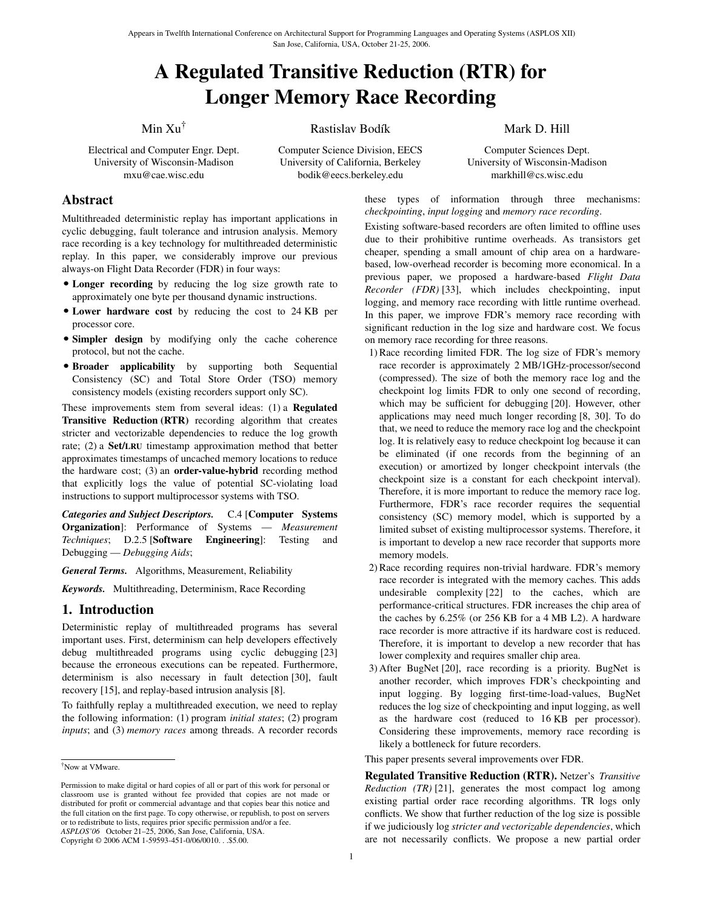# **A Regulated Transitive Reduction (RTR) for Longer Memory Race Recording**

Min  $Xu^{\dagger}$ 

Electrical and Computer Engr. Dept. University of Wisconsin-Madison mxu@cae.wisc.edu

Rastislav Bodík

Computer Science Division, EECS University of California, Berkeley bodik@eecs.berkeley.edu

Mark D. Hill

Computer Sciences Dept. University of Wisconsin-Madison markhill@cs.wisc.edu

# **Abstract**

Multithreaded deterministic replay has important applications in cyclic debugging, fault tolerance and intrusion analysis. Memory race recording is a key technology for multithreaded deterministic replay. In this paper, we considerably improve our previous always-on Flight Data Recorder (FDR) in four ways:

- **• Longer recording** by reducing the log size growth rate to approximately one byte per thousand dynamic instructions.
- **• Lower hardware cost** by reducing the cost to 24 KB per processor core.
- **Simpler design** by modifying only the cache coherence protocol, but not the cache.
- **• Broader applicability** by supporting both Sequential Consistency (SC) and Total Store Order (TSO) memory consistency models (existing recorders support only SC).

These improvements stem from several ideas: (1) a **Regulated Transitive Reduction (RTR)** recording algorithm that creates stricter and vectorizable dependencies to reduce the log growth rate; (2) a **Set/LRU** timestamp approximation method that better approximates timestamps of uncached memory locations to reduce the hardware cost; (3) an **order-value-hybrid** recording method that explicitly logs the value of potential SC-violating load instructions to support multiprocessor systems with TSO.

*Categories and Subject Descriptors.* C.4 [**Computer Systems Organization**]: Performance of Systems — *Measurement Techniques*; D.2.5 [**Software Engineering**]: Testing and Debugging — *Debugging Aids*;

*General Terms.* Algorithms, Measurement, Reliability

*Keywords.* Multithreading, Determinism, Race Recording

# **1. Introduction**

Deterministic replay of multithreaded programs has several important uses. First, determinism can help developers effectively debug multithreaded programs using cyclic debugging [23] because the erroneous executions can be repeated. Furthermore, determinism is also necessary in fault detection [30], fault recovery [15], and replay-based intrusion analysis [8].

To faithfully replay a multithreaded execution, we need to replay the following information: (1) program *initial states*; (2) program *inputs*; and (3) *memory races* among threads. A recorder records

Copyright © 2006 ACM 1-59593-451-0/06/0010. . .\$5.00.

these types of information through three mechanisms: *checkpointing*, *input logging* and *memory race recording*.

Existing software-based recorders are often limited to offline uses due to their prohibitive runtime overheads. As transistors get cheaper, spending a small amount of chip area on a hardwarebased, low-overhead recorder is becoming more economical. In a previous paper, we proposed a hardware-based *Flight Data Recorder (FDR)* [33], which includes checkpointing, input logging, and memory race recording with little runtime overhead. In this paper, we improve FDR's memory race recording with significant reduction in the log size and hardware cost. We focus on memory race recording for three reasons.

- 1) Race recording limited FDR. The log size of FDR's memory race recorder is approximately 2 MB/1GHz-processor/second (compressed). The size of both the memory race log and the checkpoint log limits FDR to only one second of recording, which may be sufficient for debugging [20]. However, other applications may need much longer recording [8, 30]. To do that, we need to reduce the memory race log and the checkpoint log. It is relatively easy to reduce checkpoint log because it can be eliminated (if one records from the beginning of an execution) or amortized by longer checkpoint intervals (the checkpoint size is a constant for each checkpoint interval). Therefore, it is more important to reduce the memory race log. Furthermore, FDR's race recorder requires the sequential consistency (SC) memory model, which is supported by a limited subset of existing multiprocessor systems. Therefore, it is important to develop a new race recorder that supports more memory models.
- 2) Race recording requires non-trivial hardware. FDR's memory race recorder is integrated with the memory caches. This adds undesirable complexity [22] to the caches, which are performance-critical structures. FDR increases the chip area of the caches by 6.25% (or 256 KB for a 4 MB L2). A hardware race recorder is more attractive if its hardware cost is reduced. Therefore, it is important to develop a new recorder that has lower complexity and requires smaller chip area.
- 3) After BugNet [20], race recording is a priority. BugNet is another recorder, which improves FDR's checkpointing and input logging. By logging first-time-load-values, BugNet reduces the log size of checkpointing and input logging, as well as the hardware cost (reduced to 16 KB per processor). Considering these improvements, memory race recording is likely a bottleneck for future recorders.

This paper presents several improvements over FDR.

**Regulated Transitive Reduction (RTR).** Netzer's *Transitive Reduction (TR)* [21], generates the most compact log among existing partial order race recording algorithms. TR logs only conflicts. We show that further reduction of the log size is possible if we judiciously log *stricter and vectorizable dependencies*, which are not necessarily conflicts. We propose a new partial order

<sup>†</sup> Now at VMware.

Permission to make digital or hard copies of all or part of this work for personal or classroom use is granted without fee provided that copies are not made or distributed for profit or commercial advantage and that copies bear this notice and the full citation on the first page. To copy otherwise, or republish, to post on servers or to redistribute to lists, requires prior specific permission and/or a fee. *ASPLOS'06* October 21–25, 2006, San Jose, California, USA.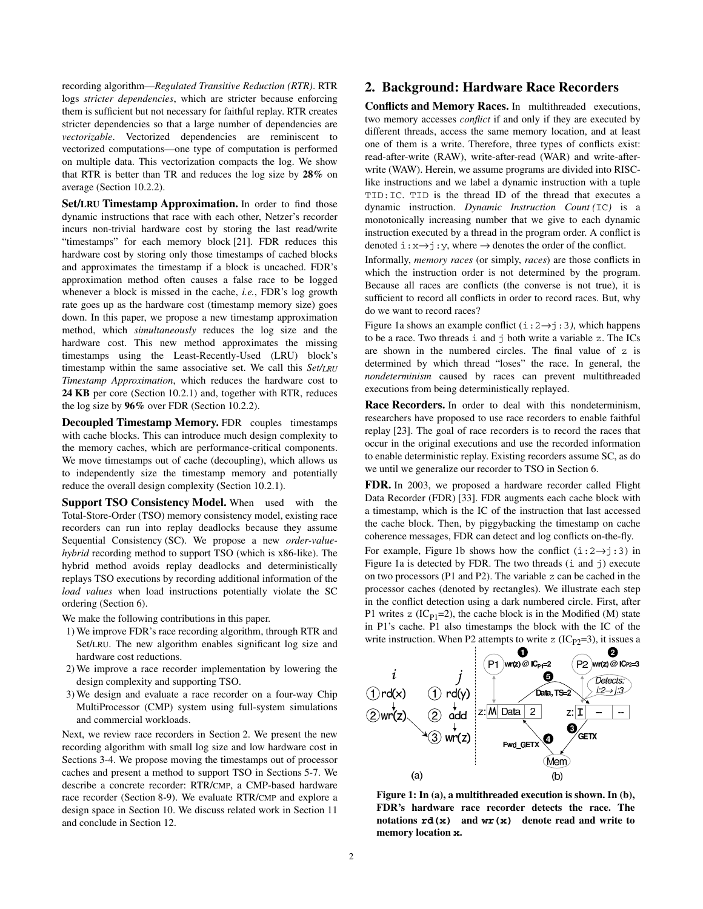recording algorithm—*Regulated Transitive Reduction (RTR)*. RTR logs *stricter dependencies*, which are stricter because enforcing them is sufficient but not necessary for faithful replay. RTR creates stricter dependencies so that a large number of dependencies are *vectorizable*. Vectorized dependencies are reminiscent to vectorized computations—one type of computation is performed on multiple data. This vectorization compacts the log. We show that RTR is better than TR and reduces the log size by **28%** on average ([Section](#page-9-2) 10.2.2).

**Set/LRU Timestamp Approximation.** In order to find those dynamic instructions that race with each other, Netzer's recorder incurs non-trivial hardware cost by storing the last read/write "timestamps" for each memory block [21]. FDR reduces this hardware cost by storing only those timestamps of cached blocks and approximates the timestamp if a block is uncached. FDR's approximation method often causes a false race to be logged whenever a block is missed in the cache, *i.e.*, FDR's log growth rate goes up as the hardware cost (timestamp memory size) goes down. In this paper, we propose a new timestamp approximation method, which *simultaneously* reduces the log size and the hardware cost. This new method approximates the missing timestamps using the Least-Recently-Used (LRU) block's timestamp within the same associative set. We call this *Set/LRU Timestamp Approximation*, which reduces the hardware cost to **24 KB** per core [\(Section](#page-9-1) 10.2.1) and, together with RTR, reduces the log size by **96%** over FDR [\(Section](#page-9-2) 10.2.2).

**Decoupled Timestamp Memory. FDR** couples timestamps with cache blocks. This can introduce much design complexity to the memory caches, which are performance-critical components. We move timestamps out of cache (decoupling), which allows us to independently size the timestamp memory and potentially reduce the overall design complexity **(**[Section](#page-9-1) 10.2.1).

**Support TSO Consistency Model.** When used with the Total-Store-Order (TSO) memory consistency model, existing race recorders can run into replay deadlocks because they assume Sequential Consistency (SC). We propose a new *order-valuehybrid* recording method to support TSO (which is x86-like). The hybrid method avoids replay deadlocks and deterministically replays TSO executions by recording additional information of the *load values* when load instructions potentially violate the SC ordering ([Section](#page-5-0) 6).

We make the following contributions in this paper.

- 1) We improve FDR's race recording algorithm, through RTR and Set/LRU. The new algorithm enables significant log size and hardware cost reductions.
- 2) We improve a race recorder implementation by lowering the design complexity and supporting TSO.
- 3) We design and evaluate a race recorder on a four-way Chip MultiProcessor (CMP) system using full-system simulations and commercial workloads.

Next, we review race recorders in [Section](#page-1-1) 2. We present the new recording algorithm with small log size and low hardware cost in Sections [3](#page-2-0)[-4.](#page-4-1) We propose moving the timestamps out of processor caches and present a method to support TSO in Sections [5-](#page-4-0)[7](#page-7-1). We describe a concrete recorder: RTR/CMP, a CMP-based hardware race recorder [\(Section](#page-7-0) 8[-9\)](#page-8-0). We evaluate RTR/CMP and explore a design space in [Section](#page-9-0) 10. We discuss related work in [Section](#page-10-0) 11 and conclude in [Section](#page-10-1) 12.

# <span id="page-1-1"></span>**2. Background: Hardware Race Recorders**

**Conflicts and Memory Races.** In multithreaded executions, two memory accesses *conflict* if and only if they are executed by different threads, access the same memory location, and at least one of them is a write. Therefore, three types of conflicts exist: read-after-write (RAW), write-after-read (WAR) and write-afterwrite (WAW). Herein, we assume programs are divided into RISClike instructions and we label a dynamic instruction with a tuple TID:IC. TID is the thread ID of the thread that executes a dynamic instruction. *Dynamic Instruction Count (*IC*)* is a monotonically increasing number that we give to each dynamic instruction executed by a thread in the program order. A conflict is denoted i: $x \rightarrow i$ : y, where  $\rightarrow$  denotes the order of the conflict.

Informally, *memory races* (or simply, *races*) are those conflicts in which the instruction order is not determined by the program. Because all races are conflicts (the converse is not true), it is sufficient to record all conflicts in order to record races. But, why do we want to record races?

[Figure](#page-1-0) 1a shows an example conflict  $(i:2 \rightarrow j:3)$ , which happens to be a race. Two threads  $\pm$  and  $\pm$  both write a variable z. The ICs are shown in the numbered circles. The final value of z is determined by which thread "loses" the race. In general, the *nondeterminism* caused by races can prevent multithreaded executions from being deterministically replayed.

**Race Recorders.** In order to deal with this nondeterminism, researchers have proposed to use race recorders to enable faithful replay [23]. The goal of race recorders is to record the races that occur in the original executions and use the recorded information to enable deterministic replay. Existing recorders assume SC, as do we until we generalize our recorder to TSO in [Section](#page-5-0) 6.

**FDR.** In 2003, we proposed a hardware recorder called Flight Data Recorder (FDR) [33]. FDR augments each cache block with a timestamp, which is the IC of the instruction that last accessed the cache block. Then, by piggybacking the timestamp on cache coherence messages, FDR can detect and log conflicts on-the-fly.

For example, [Figure](#page-1-0) 1b shows how the conflict  $(i:2 \rightarrow j:3)$  in [Figure](#page-1-0) 1a is detected by FDR. The two threads (i and j) execute on two processors (P1 and P2). The variable z can be cached in the processor caches (denoted by rectangles). We illustrate each step in the conflict detection using a dark numbered circle. First, after P1 writes z ( $IC_{\text{Pl}}=2$ ), the cache block is in the Modified (M) state in P1's cache. P1 also timestamps the block with the IC of the write instruction. When P2 attempts to write  $z$  (IC<sub>P2</sub>=3), it issues a



<span id="page-1-0"></span>**Figure 1: In (a), a multithreaded execution is shown. In (b), FDR's hardware race recorder detects the race. The notations rd(x) and wr(x) denote read and write to memory location x.**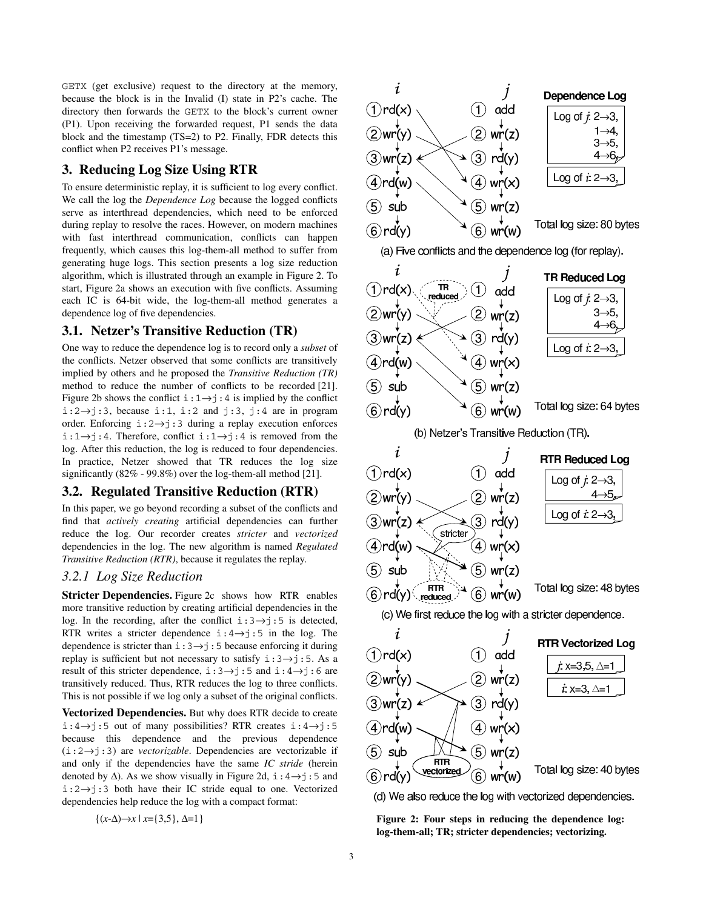GETX (get exclusive) request to the directory at the memory, because the block is in the Invalid (I) state in P2's cache. The directory then forwards the GETX to the block's current owner (P1). Upon receiving the forwarded request, P1 sends the data block and the timestamp (TS=2) to P2. Finally, FDR detects this conflict when P2 receives P1's message.

# <span id="page-2-0"></span>**3. Reducing Log Size Using RTR**

To ensure deterministic replay, it is sufficient to log every conflict. We call the log the *Dependence Log* because the logged conflicts serve as interthread dependencies, which need to be enforced during replay to resolve the races. However, on modern machines with fast interthread communication, conflicts can happen frequently, which causes this log-them-all method to suffer from generating huge logs. This section presents a log size reduction algorithm, which is illustrated through an example in [Figure](#page-2-1) 2. To start, [Figure](#page-2-1) 2a shows an execution with five conflicts. Assuming each IC is 64-bit wide, the log-them-all method generates a dependence log of five dependencies.

# **3.1. Netzer's Transitive Reduction (TR)**

One way to reduce the dependence log is to record only a *subset* of the conflicts. Netzer observed that some conflicts are transitively implied by others and he proposed the *Transitive Reduction (TR)*  method to reduce the number of conflicts to be recorded [21][.](#page-2-1)  [Figure](#page-2-1) 2b shows the conflict  $i:1 \rightarrow j:4$  is implied by the conflict  $i:2 \rightarrow j:3$ , because  $i:1$ ,  $i:2$  and  $j:3$ ,  $j:4$  are in program order. Enforcing  $i:2 \rightarrow j:3$  during a replay execution enforces  $i:1\rightarrow j:4$ . Therefore, conflict  $i:1\rightarrow j:4$  is removed from the log. After this reduction, the log is reduced to four dependencies. In practice, Netzer showed that TR reduces the log size significantly (82% - 99.8%) over the log-them-all method [21].

# **3.2. Regulated Transitive Reduction (RTR)**

In this paper, we go beyond recording a subset of the conflicts and find that *actively creating* artificial dependencies can further reduce the log. Our recorder creates *stricter* and *vectorized* dependencies in the log. The new algorithm is named *Regulated Transitive Reduction (RTR)*, because it regulates the replay.

#### *3.2.1 Log Size Reduction*

**Stricter Dependencies.** [Figure](#page-2-1) 2c shows how RTR enables more transitive reduction by creating artificial dependencies in the log. In the recording, after the conflict  $i:3 \rightarrow j:5$  is detected, RTR writes a stricter dependence  $i:4 \rightarrow i:5$  in the log. The dependence is stricter than  $i:3 \rightarrow j:5$  because enforcing it during replay is sufficient but not necessary to satisfy  $i:3 \rightarrow j:5$ . As a result of this stricter dependence,  $i:3 \rightarrow j:5$  and  $i:4 \rightarrow j:6$  are transitively reduced. Thus, RTR reduces the log to three conflicts. This is not possible if we log only a subset of the original conflicts.

**Vectorized Dependencies.** But why does RTR decide to create  $i:4 \rightarrow j:5$  out of many possibilities? RTR creates  $i:4 \rightarrow j:5$ because this dependence and the previous dependence  $(i:2 \rightarrow j:3)$  are *vectorizable*. Dependencies are vectorizable if and only if the dependencies have the same *IC stride* (herein denoted by  $\Delta$ ). As we show visually in [Figure](#page-2-1) 2d, i:4 $\rightarrow$ j:5 and  $i:2\rightarrow j:3$  both have their IC stride equal to one. Vectorized dependencies help reduce the log with a compact format:

$$
\{(x-\Delta)\rightarrow x \mid x=\{3,5\}, \Delta=1\}
$$



<span id="page-2-1"></span>**Figure 2: Four steps in reducing the dependence log: log-them-all; TR; stricter dependencies; vectorizing.**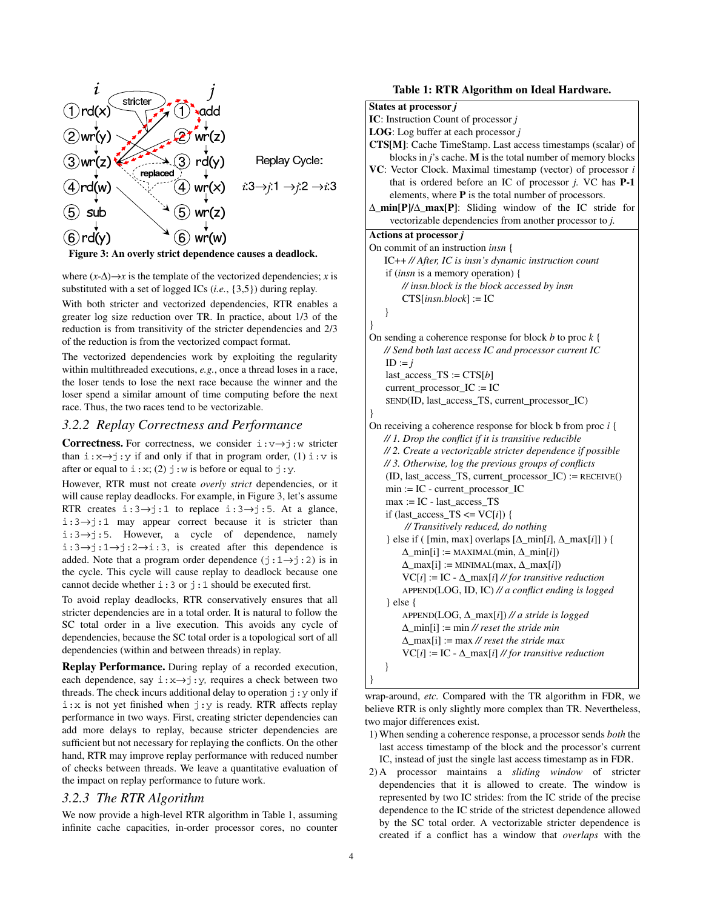

<span id="page-3-0"></span>**Figure 3: An overly strict dependence causes a deadlock.**

where  $(x-\Delta) \rightarrow x$  is the template of the vectorized dependencies; *x* is substituted with a set of logged ICs (*i.e.*, {3,5}) during replay.

With both stricter and vectorized dependencies, RTR enables a greater log size reduction over TR. In practice, about 1/3 of the reduction is from transitivity of the stricter dependencies and 2/3 of the reduction is from the vectorized compact format.

The vectorized dependencies work by exploiting the regularity within multithreaded executions, *e.g.*, once a thread loses in a race, the loser tends to lose the next race because the winner and the loser spend a similar amount of time computing before the next race. Thus, the two races tend to be vectorizable.

## *3.2.2 Replay Correctness and Performance*

**Correctness.** For correctness, we consider  $i: v \rightarrow i: w$  stricter than  $i: x \rightarrow j: y$  if and only if that in program order, (1)  $i: y$  is after or equal to  $\text{i}:x$ ; (2)  $\text{j}:w$  is before or equal to  $\text{j}:y$ .

However, RTR must not create *overly strict* dependencies, or it will cause replay deadlocks. For example, in [Figure](#page-3-0) 3, let's assume RTR creates  $i:3 \rightarrow j:1$  to replace  $i:3 \rightarrow j:5$ . At a glance,  $i:3 \rightarrow j:1$  may appear correct because it is stricter than  $i:3 \rightarrow j:5$ . However, a cycle of dependence, namely  $i:3\rightarrow j:1\rightarrow j:2\rightarrow i:3$ , is created after this dependence is added. Note that a program order dependence  $(j:1 \rightarrow j:2)$  is in the cycle. This cycle will cause replay to deadlock because one cannot decide whether  $i:3$  or  $j:1$  should be executed first.

To avoid replay deadlocks, RTR conservatively ensures that all stricter dependencies are in a total order. It is natural to follow the SC total order in a live execution. This avoids any cycle of dependencies, because the SC total order is a topological sort of all dependencies (within and between threads) in replay.

**Replay Performance.** During replay of a recorded execution, each dependence, say i:x→j:y, requires a check between two threads. The check incurs additional delay to operation  $j: y$  only if  $i: x$  is not yet finished when  $j: y$  is ready. RTR affects replay performance in two ways. First, creating stricter dependencies can add more delays to replay, because stricter dependencies are sufficient but not necessary for replaying the conflicts. On the other hand, RTR may improve replay performance with reduced number of checks between threads. We leave a quantitative evaluation of the impact on replay performance to future work.

# *3.2.3 The RTR Algorithm*

We now provide a high-level RTR algorithm in [Table](#page-3-1) 1, assuming infinite cache capacities, in-order processor cores, no counter

#### **Table 1: RTR Algorithm on Ideal Hardware.**

```
States at processor j
IC: Instruction Count of processor j
LOG: Log buffer at each processor j
CTS[M]: Cache TimeStamp. Last access timestamps (scalar) of 
     blocks in j's cache. M is the total number of memory blocks
VC: Vector Clock. Maximal timestamp (vector) of processor i
    that is ordered before an IC of processor j. VC has P-1
     elements, where P is the total number of processors. 
D_min[P]/D_max[P]: Sliding window of the IC stride for 
     vectorizable dependencies from another processor to j. 
Actions at processor j
On commit of an instruction insn {
   IC++ // After, IC is insn's dynamic instruction count
   if (insn is a memory operation) {
        // insn.block is the block accessed by insn
        CTS[insn.block] := IC
   }
}
On sending a coherence response for block b to proc k {
   // Send both last access IC and processor current IC
   ID := jlast_access_TS := CTS[b]current processor IC := ICSEND(ID, last_access_TS, current_processor_IC)
}
On receiving a coherence response for block b from proc i {
   // 1. Drop the conflict if it is transitive reducible
   // 2. Create a vectorizable stricter dependence if possible 
   // 3. Otherwise, log the previous groups of conflicts
    (ID, last access TS, current processor IC) := RECEIVE()
    min := IC - current_processor_IC
    max := IC - last_access_TS
    if (last_access_TS \leq VC[i]) {
        // Transitively reduced, do nothing
    } else if ( [min, max] overlaps [\Delta_{\text{min}}[i], \Delta_{\text{max}}[i]] ) {
        \Delta min<sup>[i]</sup> := MAXIMAL(min, \Delta min[i])
        \Delta_max[i] := MINIMAL(max, \Delta_max[i])
        VC[i] := IC - \Delta_{max[i]}/\sqrt{f} or transitive reduction
        APPEND(LOG, ID, IC) // a conflict ending is logged
    } else {
        APPEND(LOG, D_max[i]) // a stride is logged
        \Delta min[i] := min // reset the stride min
        \Delta max[i] := max // reset the stride max
        VC[i] := IC - \Delta_max[i] // for transitive reduction
   }
}
```
wrap-around, *etc.* Compared with the TR algorithm in FDR, we believe RTR is only slightly more complex than TR. Nevertheless, two major differences exist.

- 1) When sending a coherence response, a processor sends *both* the last access timestamp of the block and the processor's current IC, instead of just the single last access timestamp as in FDR.
- 2) A processor maintains a *sliding window* of stricter dependencies that it is allowed to create. The window is represented by two IC strides: from the IC stride of the precise dependence to the IC stride of the strictest dependence allowed by the SC total order. A vectorizable stricter dependence is created if a conflict has a window that *overlaps* with the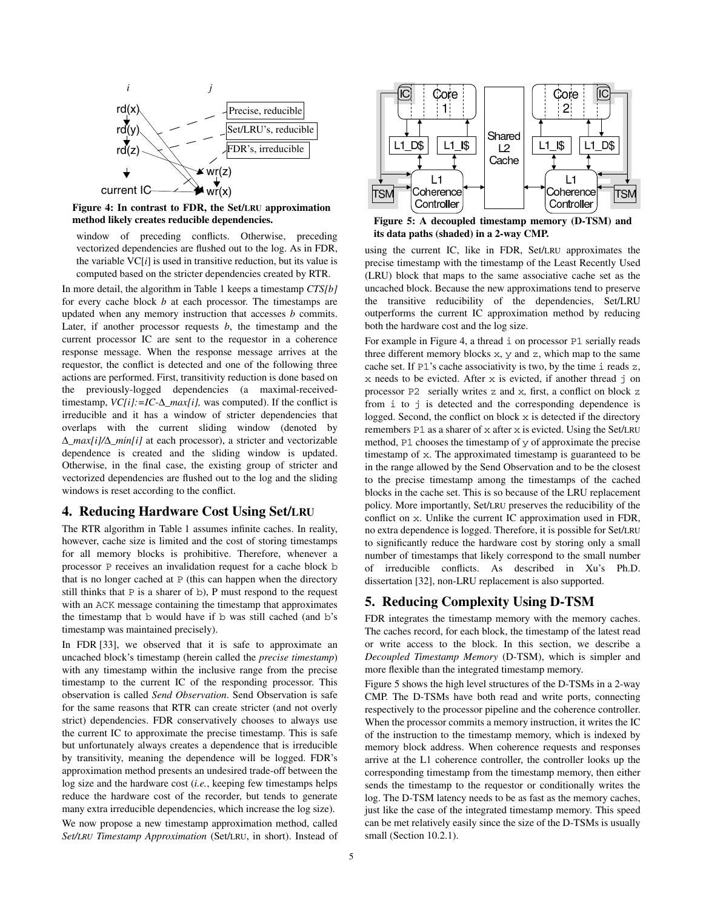

<span id="page-4-2"></span>**Figure 4: In contrast to FDR, the Set/LRU approximation method likely creates reducible dependencies.** 

window of preceding conflicts. Otherwise, preceding vectorized dependencies are flushed out to the log. As in FDR, the variable VC[*i*] is used in transitive reduction, but its value is computed based on the stricter dependencies created by RTR.

In more detail, the algorithm in [Table](#page-3-1) 1 keeps a timestamp *CTS[b]* for every cache block *b* at each processor. The timestamps are updated when any memory instruction that accesses *b* commits. Later, if another processor requests *b*, the timestamp and the current processor IC are sent to the requestor in a coherence response message. When the response message arrives at the requestor, the conflict is detected and one of the following three actions are performed. First, transitivity reduction is done based on the previously-logged dependencies (a maximal-receivedtimestamp,  $VC[i]:=IC-\Delta_max[i]$ , was computed). If the conflict is irreducible and it has a window of stricter dependencies that overlaps with the current sliding window (denoted by D*\_max[i]/*D*\_min[i]* at each processor), a stricter and vectorizable dependence is created and the sliding window is updated. Otherwise, in the final case, the existing group of stricter and vectorized dependencies are flushed out to the log and the sliding windows is reset according to the conflict.

# <span id="page-4-1"></span>**4. Reducing Hardware Cost Using Set/LRU**

The RTR algorithm in [Table](#page-3-1) 1 assumes infinite caches. In reality, however, cache size is limited and the cost of storing timestamps for all memory blocks is prohibitive. Therefore, whenever a processor P receives an invalidation request for a cache block b that is no longer cached at P (this can happen when the directory still thinks that P is a sharer of b), P must respond to the request with an ACK message containing the timestamp that approximates the timestamp that b would have if b was still cached (and b's timestamp was maintained precisely).

In FDR [33], we observed that it is safe to approximate an uncached block's timestamp (herein called the *precise timestamp*) with any timestamp within the inclusive range from the precise timestamp to the current IC of the responding processor. This observation is called *Send Observation*. Send Observation is safe for the same reasons that RTR can create stricter (and not overly strict) dependencies. FDR conservatively chooses to always use the current IC to approximate the precise timestamp. This is safe but unfortunately always creates a dependence that is irreducible by transitivity, meaning the dependence will be logged. FDR's approximation method presents an undesired trade-off between the log size and the hardware cost (*i.e.*, keeping few timestamps helps reduce the hardware cost of the recorder, but tends to generate many extra irreducible dependencies, which increase the log size).

We now propose a new timestamp approximation method, called *Set/LRU Timestamp Approximation* (Set/LRU, in short). Instead of



<span id="page-4-3"></span>**Figure 5: A decoupled timestamp memory (D-TSM) and its data paths (shaded) in a 2-way CMP.** 

using the current IC, like in FDR, Set/LRU approximates the precise timestamp with the timestamp of the Least Recently Used (LRU) block that maps to the same associative cache set as the uncached block. Because the new approximations tend to preserve the transitive reducibility of the dependencies, Set/LRU outperforms the current IC approximation method by reducing both the hardware cost and the log size.

For example in [Figure](#page-4-2) 4, a thread i on processor P1 serially reads three different memory blocks  $x$ ,  $y$  and  $z$ , which map to the same cache set. If  $P1$ 's cache associativity is two, by the time  $\pm$  reads z,  $x$  needs to be evicted. After  $x$  is evicted, if another thread  $\dot{y}$  on processor P2 serially writes z and x*,* first, a conflict on block z from i to j is detected and the corresponding dependence is logged. Second, the conflict on block  $x$  is detected if the directory remembers P1 as a sharer of x after x is evicted. Using the Set/LRU method, P1 chooses the timestamp of y of approximate the precise timestamp of x. The approximated timestamp is guaranteed to be in the range allowed by the Send Observation and to be the closest to the precise timestamp among the timestamps of the cached blocks in the cache set. This is so because of the LRU replacement policy. More importantly, Set/LRU preserves the reducibility of the conflict on x. Unlike the current IC approximation used in FDR, no extra dependence is logged. Therefore, it is possible for Set/LRU to significantly reduce the hardware cost by storing only a small number of timestamps that likely correspond to the small number of irreducible conflicts. As described in Xu's Ph.D. dissertation [32], non-LRU replacement is also supported.

# <span id="page-4-0"></span>**5. Reducing Complexity Using D-TSM**

FDR integrates the timestamp memory with the memory caches. The caches record, for each block, the timestamp of the latest read or write access to the block. In this section, we describe a *Decoupled Timestamp Memory* (D-TSM), which is simpler and more flexible than the integrated timestamp memory.

[Figure](#page-4-3) 5 shows the high level structures of the D-TSMs in a 2-way CMP. The D-TSMs have both read and write ports, connecting respectively to the processor pipeline and the coherence controller. When the processor commits a memory instruction, it writes the IC of the instruction to the timestamp memory, which is indexed by memory block address. When coherence requests and responses arrive at the L1 coherence controller, the controller looks up the corresponding timestamp from the timestamp memory, then either sends the timestamp to the requestor or conditionally writes the log. The D-TSM latency needs to be as fast as the memory caches, just like the case of the integrated timestamp memory. This speed can be met relatively easily since the size of the D-TSMs is usually small ([Section](#page-9-1) 10.2.1).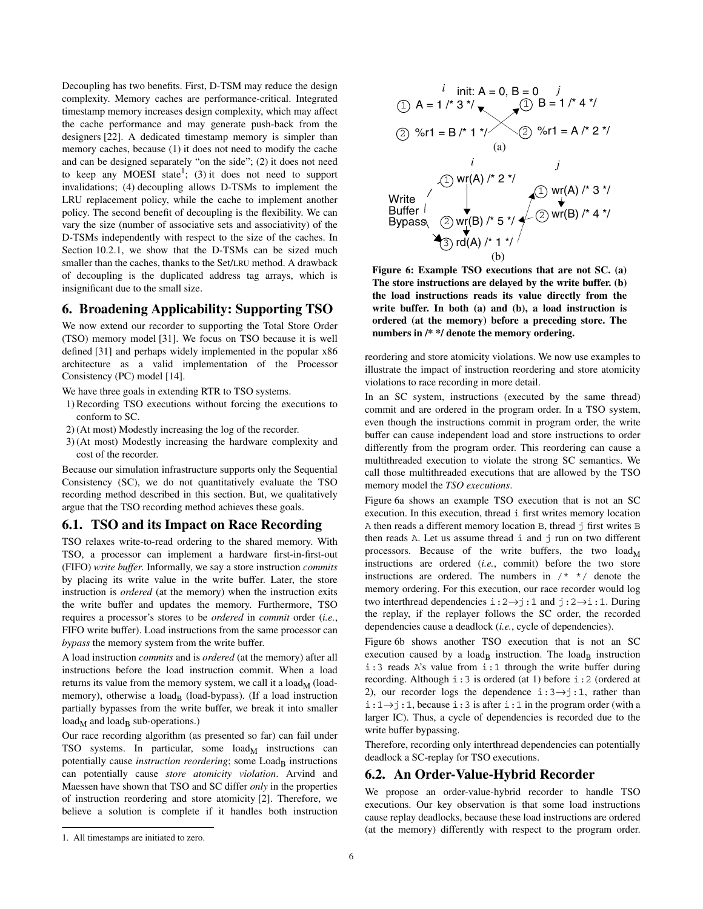Decoupling has two benefits. First, D-TSM may reduce the design complexity. Memory caches are performance-critical. Integrated timestamp memory increases design complexity, which may affect the cache performance and may generate push-back from the designers [22]. A dedicated timestamp memory is simpler than memory caches, because (1) it does not need to modify the cache and can be designed separately "on the side"; (2) it does not need to keep any MOESI state<sup>1</sup>; (3) it does not need to support invalidations; (4) decoupling allows D-TSMs to implement the LRU replacement policy, while the cache to implement another policy. The second benefit of decoupling is the flexibility. We can vary the size (number of associative sets and associativity) of the D-TSMs independently with respect to the size of the caches. In [Section](#page-9-1) 10.2.1, we show that the D-TSMs can be sized much smaller than the caches, thanks to the Set/LRU method. A drawback of decoupling is the duplicated address tag arrays, which is insignificant due to the small size.

## <span id="page-5-0"></span>**6. Broadening Applicability: Supporting TSO**

We now extend our recorder to supporting the Total Store Order (TSO) memory model [31]. We focus on TSO because it is well defined [31] and perhaps widely implemented in the popular x86 architecture as a valid implementation of the Processor Consistency (PC) model [14].

We have three goals in extending RTR to TSO systems.

- 1) Recording TSO executions without forcing the executions to conform to SC.
- 2) (At most) Modestly increasing the log of the recorder.
- 3) (At most) Modestly increasing the hardware complexity and cost of the recorder.

Because our simulation infrastructure supports only the Sequential Consistency (SC), we do not quantitatively evaluate the TSO recording method described in this section. But, we qualitatively argue that the TSO recording method achieves these goals.

#### **6.1. TSO and its Impact on Race Recording**

TSO relaxes write-to-read ordering to the shared memory. With TSO, a processor can implement a hardware first-in-first-out (FIFO) *write buffer*. Informally, we say a store instruction *commits* by placing its write value in the write buffer. Later, the store instruction is *ordered* (at the memory) when the instruction exits the write buffer and updates the memory. Furthermore, TSO requires a processor's stores to be *ordered* in *commit* order (*i.e.*, FIFO write buffer). Load instructions from the same processor can *bypass* the memory system from the write buffer.

A load instruction *commits* and is *ordered* (at the memory) after all instructions before the load instruction commit. When a load returns its value from the memory system, we call it a  $load_{M}$  (loadmemory), otherwise a load<sub>B</sub> (load-bypass). (If a load instruction partially bypasses from the write buffer, we break it into smaller  $load_M$  and  $load_B$  sub-operations.)

Our race recording algorithm (as presented so far) can fail under TSO systems. In particular, some  $load_M$  instructions can potentially cause *instruction reordering*; some Load<sub>B</sub> instructions can potentially cause *store atomicity violation*. Arvind and Maessen have shown that TSO and SC differ *only* in the properties of instruction reordering and store atomicity [2]. Therefore, we believe a solution is complete if it handles both instruction



<span id="page-5-1"></span>**Figure 6: Example TSO executions that are not SC. (a) The store instructions are delayed by the write buffer. (b) the load instructions reads its value directly from the write buffer. In both (a) and (b), a load instruction is ordered (at the memory) before a preceding store. The numbers in /\* \*/ denote the memory ordering.**

reordering and store atomicity violations. We now use examples to illustrate the impact of instruction reordering and store atomicity violations to race recording in more detail.

In an SC system, instructions (executed by the same thread) commit and are ordered in the program order. In a TSO system, even though the instructions commit in program order, the write buffer can cause independent load and store instructions to order differently from the program order. This reordering can cause a multithreaded execution to violate the strong SC semantics. We call those multithreaded executions that are allowed by the TSO memory model the *TSO executions*.

[Figure](#page-5-1) 6a shows an example TSO execution that is not an SC execution. In this execution, thread i first writes memory location A then reads a different memory location B, thread j first writes B then reads A. Let us assume thread  $\pm$  and  $\pm$  run on two different processors. Because of the write buffers, the two  $load_M$ instructions are ordered (*i.e.*, commit) before the two store instructions are ordered. The numbers in  $/*$   $*/$  denote the memory ordering. For this execution, our race recorder would log two interthread dependencies  $i:2 \rightarrow j:1$  and  $j:2 \rightarrow i:1$ . During the replay, if the replayer follows the SC order, the recorded dependencies cause a deadlock (*i.e.*, cycle of dependencies).

[Figure](#page-5-1) 6b shows another TSO execution that is not an SC execution caused by a load<sub>B</sub> instruction. The load<sub>B</sub> instruction i:3 reads A's value from i:1 through the write buffer during recording. Although i:3 is ordered (at 1) before i:2 (ordered at 2), our recorder logs the dependence  $i:3 \rightarrow j:1$ , rather than  $i:1\rightarrow j:1$ , because  $i:3$  is after  $i:1$  in the program order (with a larger IC). Thus, a cycle of dependencies is recorded due to the write buffer bypassing.

Therefore, recording only interthread dependencies can potentially deadlock a SC-replay for TSO executions.

#### **6.2. An Order-Value-Hybrid Recorder**

We propose an order-value-hybrid recorder to handle TSO executions. Our key observation is that some load instructions cause replay deadlocks, because these load instructions are ordered (at the memory) differently with respect to the program order. 1. All timestamps are initiated to zero.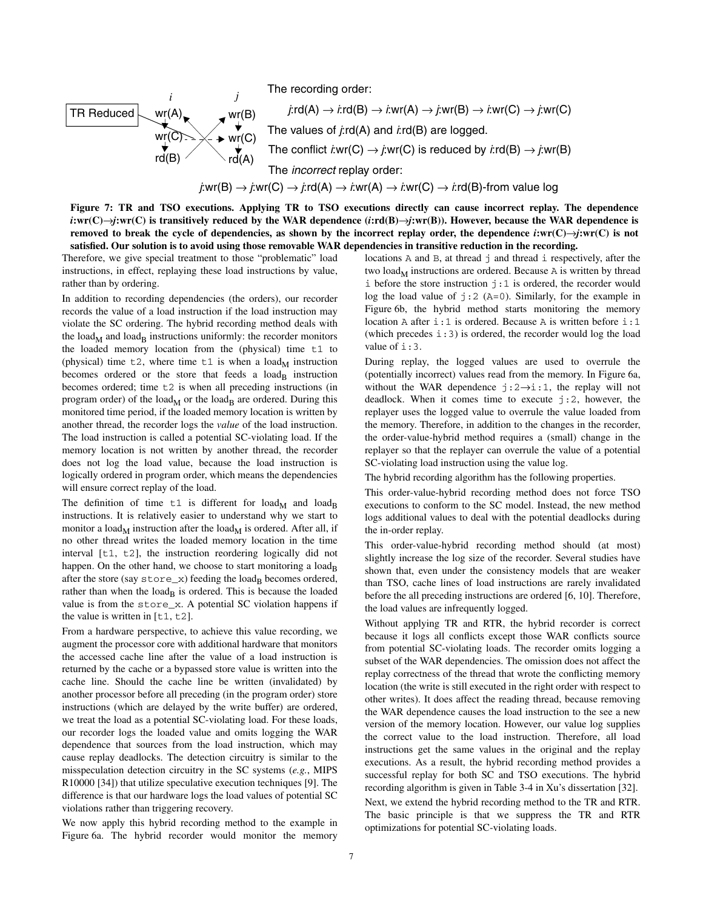The recording order:



 $f:rd(A) \rightarrow \text{irrd}(B) \rightarrow \text{irwr}(A) \rightarrow \text{irwr}(B) \rightarrow \text{irwr}(C) \rightarrow \text{irwr}(C)$ The values of *j*:rd(A) and *i*:rd(B) are logged. The conflict  $\text{if.}(\text{C}) \rightarrow \text{if.}(\text{C})$  is reduced by  $\text{if.}(\text{C}) \rightarrow \text{if.}(\text{C})$ The *incorrect* replay order:  $j:wr(B) \to j:wr(C) \to j:rd(A) \to i:wr(A) \to i:wr(C) \to i:rd(B)$ -from value log

<span id="page-6-0"></span>**Figure 7: TR and TSO executions. Applying TR to TSO executions directly can cause incorrect replay. The dependence**   $i:\text{wr}(C) \rightarrow j:\text{wr}(C)$  is transitively reduced by the WAR dependence  $(i:\text{rd}(B) \rightarrow j:\text{wr}(B))$ . However, because the WAR dependence is **removed to break the cycle of dependencies, as shown by the incorrect replay order, the dependence**  $i:\text{wr}(C) \rightarrow j:\text{wr}(C)$  **is not satisfied. Our solution is to avoid using those removable WAR dependencies in transitive reduction in the recording.** 

Therefore, we give special treatment to those "problematic" load instructions, in effect, replaying these load instructions by value, rather than by ordering.

In addition to recording dependencies (the orders), our recorder records the value of a load instruction if the load instruction may violate the SC ordering. The hybrid recording method deals with the load<sub>M</sub> and load<sub>B</sub> instructions uniformly: the recorder monitors the loaded memory location from the (physical) time t1 to (physical) time t2, where time t1 is when a load<sub>M</sub> instruction becomes ordered or the store that feeds a  $load_B$  instruction becomes ordered; time t2 is when all preceding instructions (in program order) of the load<sub>M</sub> or the load<sub>B</sub> are ordered. During this monitored time period, if the loaded memory location is written by another thread, the recorder logs the *value* of the load instruction. The load instruction is called a potential SC-violating load. If the memory location is not written by another thread, the recorder does not log the load value, because the load instruction is logically ordered in program order, which means the dependencies will ensure correct replay of the load.

The definition of time  $t1$  is different for load<sub>M</sub> and load<sub>B</sub> instructions. It is relatively easier to understand why we start to monitor a load<sub>M</sub> instruction after the load<sub>M</sub> is ordered. After all, if no other thread writes the loaded memory location in the time interval [t1, t2], the instruction reordering logically did not happen. On the other hand, we choose to start monitoring a  $load<sub>B</sub>$ after the store (say  $store_x$ ) feeding the load<sub>B</sub> becomes ordered, rather than when the load<sub>B</sub> is ordered. This is because the loaded value is from the store\_x. A potential SC violation happens if the value is written in  $[t1, t2]$ .

From a hardware perspective, to achieve this value recording, we augment the processor core with additional hardware that monitors the accessed cache line after the value of a load instruction is returned by the cache or a bypassed store value is written into the cache line. Should the cache line be written (invalidated) by another processor before all preceding (in the program order) store instructions (which are delayed by the write buffer) are ordered, we treat the load as a potential SC-violating load. For these loads, our recorder logs the loaded value and omits logging the WAR dependence that sources from the load instruction, which may cause replay deadlocks. The detection circuitry is similar to the misspeculation detection circuitry in the SC systems (*e.g.*, MIPS R10000 [34]) that utilize speculative execution techniques [9]. The difference is that our hardware logs the load values of potential SC violations rather than triggering recovery.

We now apply this hybrid recording method to the example in [Figure](#page-5-1) 6a. The hybrid recorder would monitor the memory

locations A and B, at thread j and thread i respectively, after the two load $_M$  instructions are ordered. Because A is written by thread  $i$  before the store instruction  $j:1$  is ordered, the recorder would log the load value of  $j:2$  (A=0). Similarly, for the example in [Figure](#page-5-1) 6b, the hybrid method starts monitoring the memory location A after i:1 is ordered. Because A is written before i:1 (which precedes i:3) is ordered, the recorder would log the load value of i:3.

During replay, the logged values are used to overrule the (potentially incorrect) values read from the memory. In [Figure](#page-5-1) 6a, without the WAR dependence  $\exists : 2 \rightarrow \exists : 1$ , the replay will not deadlock. When it comes time to execute  $\exists$ :2, however, the replayer uses the logged value to overrule the value loaded from the memory. Therefore, in addition to the changes in the recorder, the order-value-hybrid method requires a (small) change in the replayer so that the replayer can overrule the value of a potential SC-violating load instruction using the value log.

The hybrid recording algorithm has the following properties.

This order-value-hybrid recording method does not force TSO executions to conform to the SC model. Instead, the new method logs additional values to deal with the potential deadlocks during the in-order replay.

This order-value-hybrid recording method should (at most) slightly increase the log size of the recorder. Several studies have shown that, even under the consistency models that are weaker than TSO, cache lines of load instructions are rarely invalidated before the all preceding instructions are ordered [6, 10]. Therefore, the load values are infrequently logged.

Without applying TR and RTR, the hybrid recorder is correct because it logs all conflicts except those WAR conflicts source from potential SC-violating loads. The recorder omits logging a subset of the WAR dependencies. The omission does not affect the replay correctness of the thread that wrote the conflicting memory location (the write is still executed in the right order with respect to other writes). It does affect the reading thread, because removing the WAR dependence causes the load instruction to the see a new version of the memory location. However, our value log supplies the correct value to the load instruction. Therefore, all load instructions get the same values in the original and the replay executions. As a result, the hybrid recording method provides a successful replay for both SC and TSO executions. The hybrid recording algorithm is given in Table 3-4 in Xu's dissertation [32]. Next, we extend the hybrid recording method to the TR and RTR. The basic principle is that we suppress the TR and RTR optimizations for potential SC-violating loads.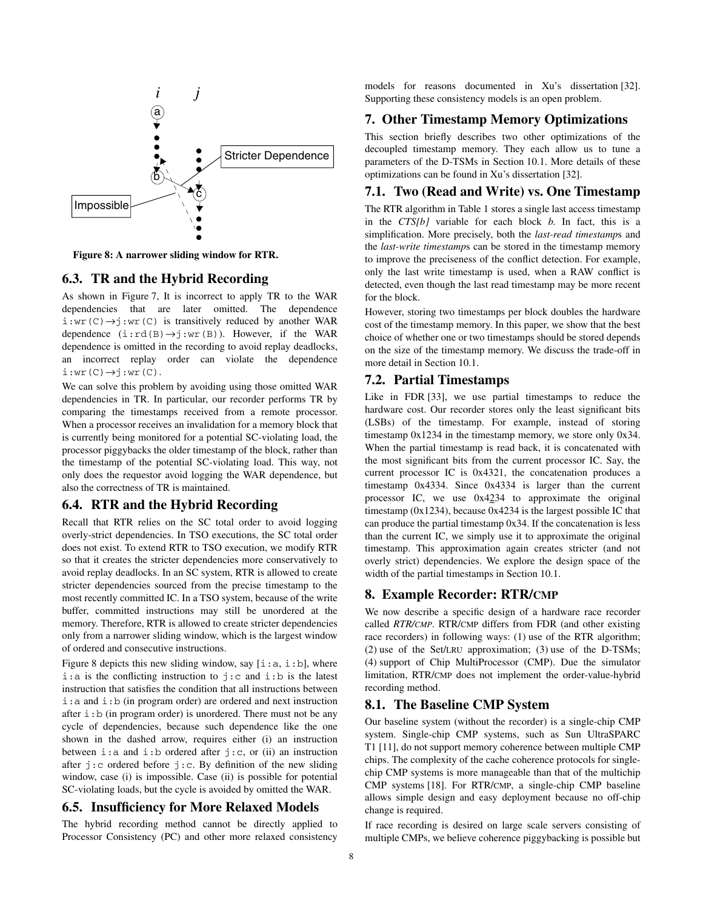

<span id="page-7-2"></span>**Figure 8: A narrower sliding window for RTR.** 

# **6.3. TR and the Hybrid Recording**

As shown in [Figure](#page-6-0) 7, It is incorrect to apply TR to the WAR dependencies that are later omitted. The dependence  $i:wr(C) \rightarrow j:wr(C)$  is transitively reduced by another WAR dependence  $(i:rd(B) \rightarrow j:wr(B))$ . However, if the WAR dependence is omitted in the recording to avoid replay deadlocks, an incorrect replay order can violate the dependence  $i:wr(C) \rightarrow j:wr(C).$ 

We can solve this problem by avoiding using those omitted WAR dependencies in TR. In particular, our recorder performs TR by comparing the timestamps received from a remote processor. When a processor receives an invalidation for a memory block that is currently being monitored for a potential SC-violating load, the processor piggybacks the older timestamp of the block, rather than the timestamp of the potential SC-violating load. This way, not only does the requestor avoid logging the WAR dependence, but also the correctness of TR is maintained.

# **6.4. RTR and the Hybrid Recording**

Recall that RTR relies on the SC total order to avoid logging overly-strict dependencies. In TSO executions, the SC total order does not exist. To extend RTR to TSO execution, we modify RTR so that it creates the stricter dependencies more conservatively to avoid replay deadlocks. In an SC system, RTR is allowed to create stricter dependencies sourced from the precise timestamp to the most recently committed IC. In a TSO system, because of the write buffer, committed instructions may still be unordered at the memory. Therefore, RTR is allowed to create stricter dependencies only from a narrower sliding window, which is the largest window of ordered and consecutive instructions.

[Figure](#page-7-2) 8 depicts this new sliding window, say  $[i:a, i:b]$ , where  $i:a$  is the conflicting instruction to  $j:c$  and  $i:b$  is the latest instruction that satisfies the condition that all instructions between i:a and i:b (in program order) are ordered and next instruction after  $i:b$  (in program order) is unordered. There must not be any cycle of dependencies, because such dependence like the one shown in the dashed arrow, requires either (i) an instruction between  $i:a$  and  $i:b$  ordered after  $j:c$ , or (ii) an instruction after j:c ordered before j:c. By definition of the new sliding window, case (i) is impossible. Case (ii) is possible for potential SC-violating loads, but the cycle is avoided by omitted the WAR.

# **6.5. Insufficiency for More Relaxed Models**

The hybrid recording method cannot be directly applied to Processor Consistency (PC) and other more relaxed consistency

models for reasons documented in Xu's dissertation [32]. Supporting these consistency models is an open problem.

# <span id="page-7-1"></span>**7. Other Timestamp Memory Optimizations**

This section briefly describes two other optimizations of the decoupled timestamp memory. They each allow us to tune a parameters of the D-TSMs in [Section](#page-9-3) 10.1. More details of these optimizations can be found in Xu's dissertation [32].

# **7.1. Two (Read and Write) vs. One Timestamp**

The RTR algorithm in [Table](#page-3-1) 1 stores a single last access timestamp in the *CTS[b]* variable for each block *b*. In fact, this is a simplification. More precisely, both the *last-read timestamp*s and the *last-write timestamp*s can be stored in the timestamp memory to improve the preciseness of the conflict detection. For example, only the last write timestamp is used, when a RAW conflict is detected, even though the last read timestamp may be more recent for the block.

However, storing two timestamps per block doubles the hardware cost of the timestamp memory. In this paper, we show that the best choice of whether one or two timestamps should be stored depends on the size of the timestamp memory. We discuss the trade-off in more detail in [Section](#page-9-3) 10.1.

## **7.2. Partial Timestamps**

Like in FDR [33], we use partial timestamps to reduce the hardware cost. Our recorder stores only the least significant bits (LSBs) of the timestamp. For example, instead of storing timestamp 0x1234 in the timestamp memory, we store only 0x34. When the partial timestamp is read back, it is concatenated with the most significant bits from the current processor IC. Say, the current processor IC is 0x4321, the concatenation produces a timestamp 0x4334. Since 0x4334 is larger than the current processor IC, we use 0x4234 to approximate the original timestamp (0x1234), because 0x4234 is the largest possible IC that can produce the partial timestamp 0x34. If the concatenation is less than the current IC, we simply use it to approximate the original timestamp. This approximation again creates stricter (and not overly strict) dependencies. We explore the design space of the width of the partial timestamps in [Section](#page-9-3) 10.1.

# <span id="page-7-0"></span>**8. Example Recorder: RTR/CMP**

We now describe a specific design of a hardware race recorder called *RTR/CMP*. RTR/CMP differs from FDR (and other existing race recorders) in following ways: (1) use of the RTR algorithm; (2) use of the Set/LRU approximation; (3) use of the D-TSMs; (4) support of Chip MultiProcessor (CMP). Due the simulator limitation, RTR/CMP does not implement the order-value-hybrid recording method.

# **8.1. The Baseline CMP System**

Our baseline system (without the recorder) is a single-chip CMP system. Single-chip CMP systems, such as Sun UltraSPARC T1 [11], do not support memory coherence between multiple CMP chips. The complexity of the cache coherence protocols for singlechip CMP systems is more manageable than that of the multichip CMP systems [18]. For RTR/CMP, a single-chip CMP baseline allows simple design and easy deployment because no off-chip change is required.

If race recording is desired on large scale servers consisting of multiple CMPs, we believe coherence piggybacking is possible but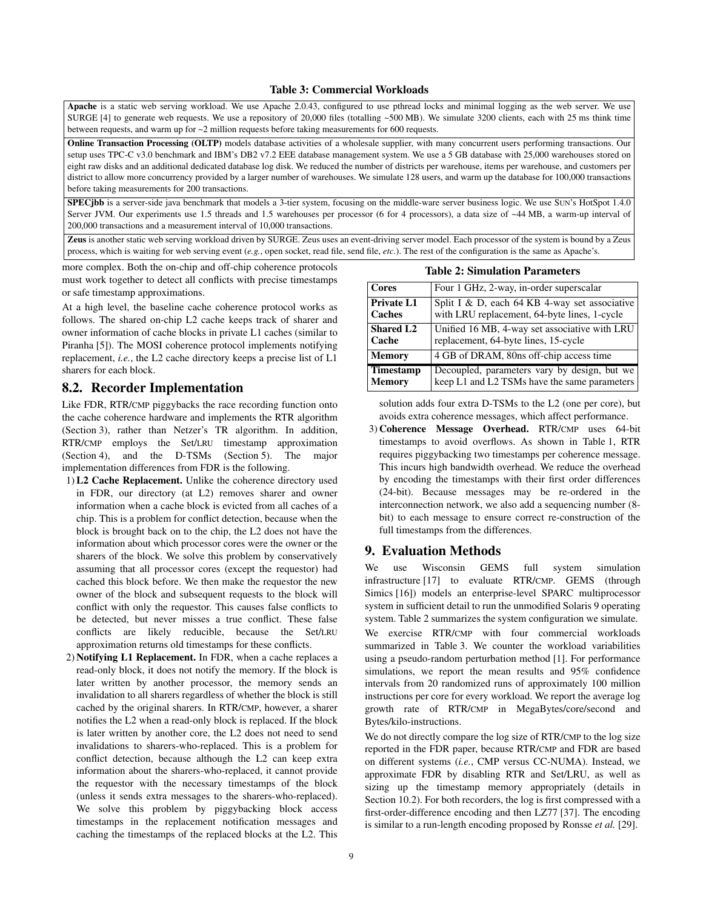#### **Table 3: Commercial Workloads**

<span id="page-8-1"></span>**Apache** is a static web serving workload. We use Apache 2.0.43, configured to use pthread locks and minimal logging as the web server. We use SURGE [4] to generate web requests. We use a repository of 20,000 files (totalling ~500 MB). We simulate 3200 clients, each with 25 ms think time between requests, and warm up for  $\sim$ 2 million requests before taking measurements for 600 requests.

**Online Transaction Processing (OLTP)** models database activities of a wholesale supplier, with many concurrent users performing transactions. Our setup uses TPC-C v3.0 benchmark and IBM's DB2 v7.2 EEE database management system. We use a 5 GB database with 25,000 warehouses stored on eight raw disks and an additional dedicated database log disk. We reduced the number of districts per warehouse, items per warehouse, and customers per district to allow more concurrency provided by a larger number of warehouses. We simulate 128 users, and warm up the database for 100,000 transactions before taking measurements for 200 transactions.

**SPECjbb** is a server-side java benchmark that models a 3-tier system, focusing on the middle-ware server business logic. We use SUN's HotSpot 1.4.0 Server JVM. Our experiments use 1.5 threads and 1.5 warehouses per processor (6 for 4 processors), a data size of ~44 MB, a warm-up interval of 200,000 transactions and a measurement interval of 10,000 transactions.

**Zeus** is another static web serving workload driven by SURGE. Zeus uses an event-driving server model. Each processor of the system is bound by a Zeus process, which is waiting for web serving event (*e.g.*, open socket, read file, send file, *etc.*). The rest of the configuration is the same as Apache's.

more complex. Both the on-chip and off-chip coherence protocols must work together to detect all conflicts with precise timestamps or safe timestamp approximations.

At a high level, the baseline cache coherence protocol works as follows. The shared on-chip L2 cache keeps track of sharer and owner information of cache blocks in private L1 caches (similar to Piranha [5]). The MOSI coherence protocol implements notifying replacement, *i.e.*, the L2 cache directory keeps a precise list of L1 sharers for each block.

## **8.2. Recorder Implementation**

Like FDR, RTR/CMP piggybacks the race recording function onto the cache coherence hardware and implements the RTR algorithm ([Section](#page-2-0) 3), rather than Netzer's TR algorithm. In addition, RTR/CMP employs the Set/LRU timestamp approximation ([Section](#page-4-1) 4), and the D-TSMs [\(Section](#page-4-0) 5). The major implementation differences from FDR is the following.

- 1) **L2 Cache Replacement.** Unlike the coherence directory used in FDR, our directory (at L2) removes sharer and owner information when a cache block is evicted from all caches of a chip. This is a problem for conflict detection, because when the block is brought back on to the chip, the L2 does not have the information about which processor cores were the owner or the sharers of the block. We solve this problem by conservatively assuming that all processor cores (except the requestor) had cached this block before. We then make the requestor the new owner of the block and subsequent requests to the block will conflict with only the requestor. This causes false conflicts to be detected, but never misses a true conflict. These false conflicts are likely reducible, because the Set/LRU approximation returns old timestamps for these conflicts.
- 2) **Notifying L1 Replacement.** In FDR, when a cache replaces a read-only block, it does not notify the memory. If the block is later written by another processor, the memory sends an invalidation to all sharers regardless of whether the block is still cached by the original sharers. In RTR/CMP, however, a sharer notifies the L2 when a read-only block is replaced. If the block is later written by another core, the L2 does not need to send invalidations to sharers-who-replaced. This is a problem for conflict detection, because although the L2 can keep extra information about the sharers-who-replaced, it cannot provide the requestor with the necessary timestamps of the block (unless it sends extra messages to the sharers-who-replaced). We solve this problem by piggybacking block access timestamps in the replacement notification messages and caching the timestamps of the replaced blocks at the L2. This

#### **Table 2: Simulation Parameters**

<span id="page-8-2"></span>

| Cores             | Four 1 GHz, 2-way, in-order superscalar       |  |  |
|-------------------|-----------------------------------------------|--|--|
| <b>Private L1</b> | Split I & D, each 64 KB 4-way set associative |  |  |
| <b>Caches</b>     | with LRU replacement, 64-byte lines, 1-cycle  |  |  |
| <b>Shared L2</b>  | Unified 16 MB, 4-way set associative with LRU |  |  |
| Cache             | replacement, 64-byte lines, 15-cycle          |  |  |
| <b>Memory</b>     | 4 GB of DRAM, 80ns off-chip access time       |  |  |
| Timestamp         | Decoupled, parameters vary by design, but we  |  |  |
| <b>Memory</b>     | keep L1 and L2 TSMs have the same parameters  |  |  |

solution adds four extra D-TSMs to the L2 (one per core), but avoids extra coherence messages, which affect performance.

3) **Coherence Message Overhead.** RTR/CMP uses 64-bit timestamps to avoid overflows. As shown in [Table](#page-3-1) 1, RTR requires piggybacking two timestamps per coherence message. This incurs high bandwidth overhead. We reduce the overhead by encoding the timestamps with their first order differences (24-bit). Because messages may be re-ordered in the interconnection network, we also add a sequencing number (8 bit) to each message to ensure correct re-construction of the full timestamps from the differences.

## <span id="page-8-0"></span>**9. Evaluation Methods**

We use Wisconsin GEMS full system simulation infrastructure [17] to evaluate RTR/CMP. GEMS (through Simics [16]) models an enterprise-level SPARC multiprocessor system in sufficient detail to run the unmodified Solaris 9 operating system. [Table](#page-8-2) 2 summarizes the system configuration we simulate.

We exercise RTR/CMP with four commercial workloads summarized in [Table](#page-8-1) 3. We counter the workload variabilities using a pseudo-random perturbation method [1]. For performance simulations, we report the mean results and 95% confidence intervals from 20 randomized runs of approximately 100 million instructions per core for every workload. We report the average log growth rate of RTR/CMP in MegaBytes/core/second and Bytes/kilo-instructions.

We do not directly compare the log size of RTR/CMP to the log size reported in the FDR paper, because RTR/CMP and FDR are based on different systems (*i.e.*, CMP versus CC-NUMA). Instead, we approximate FDR by disabling RTR and Set/LRU, as well as sizing up the timestamp memory appropriately (details in [Section](#page-9-4) 10.2). For both recorders, the log is first compressed with a first-order-difference encoding and then LZ77 [37]. The encoding is similar to a run-length encoding proposed by Ronsse *et al.* [29].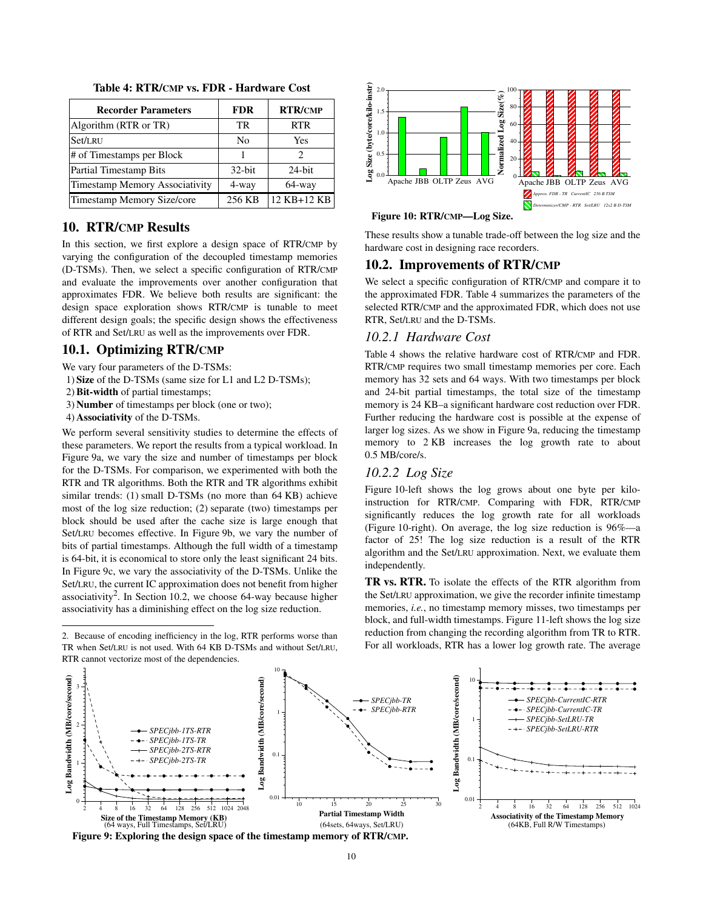<span id="page-9-5"></span>

| <b>Recorder Parameters</b>     | <b>FDR</b>     | <b>RTR/CMP</b> |
|--------------------------------|----------------|----------------|
| Algorithm (RTR or TR)          | TR             | <b>RTR</b>     |
| Set/lru                        | N <sub>0</sub> | Yes            |
| # of Timestamps per Block      |                |                |
| Partial Timestamp Bits         | $32$ -bit      | $24$ -bit      |
| Timestamp Memory Associativity | 4-way          | 64-way         |
| Timestamp Memory Size/core     | 256 KB         | $12$ KB+12 KB  |

**Table 4: RTR/CMP vs. FDR - Hardware Cost**

# <span id="page-9-0"></span>**10. RTR/CMP Results**

In this section, we first explore a design space of RTR/CMP by varying the configuration of the decoupled timestamp memories (D-TSMs). Then, we select a specific configuration of RTR/CMP and evaluate the improvements over another configuration that approximates FDR. We believe both results are significant: the design space exploration shows RTR/CMP is tunable to meet different design goals; the specific design shows the effectiveness of RTR and Set/LRU as well as the improvements over FDR.

# <span id="page-9-3"></span>**10.1. Optimizing RTR/CMP**

We vary four parameters of the D-TSMs:

- 1) **Size** of the D-TSMs (same size for L1 and L2 D-TSMs);
- 2) **Bit-width** of partial timestamps;
- 3) **Number** of timestamps per block (one or two);
- 4) **Associativity** of the D-TSMs.

We perform several sensitivity studies to determine the effects of these parameters. We report the results from a typical workload. In [Figure](#page-9-7) 9a, we vary the size and number of timestamps per block for the D-TSMs. For comparison, we experimented with both the RTR and TR algorithms. Both the RTR and TR algorithms exhibit similar trends: (1) small D-TSMs (no more than 64 KB) achieve most of the log size reduction; (2) separate (two) timestamps per block should be used after the cache size is large enough that Set/LRU becomes effective. In [Figure](#page-9-7) 9b, we vary the number of bits of partial timestamps. Although the full width of a timestamp is 64-bit, it is economical to store only the least significant 24 bits. In [Figure](#page-9-7) 9c, we vary the associativity of the D-TSMs. Unlike the Set/LRU, the current IC approximation does not benefit from higher associativity<sup>2</sup>. In [Section](#page-9-4) 10.2, we choose 64-way because higher associativity has a diminishing effect on the log size reduction.





<span id="page-9-6"></span>These results show a tunable trade-off between the log size and the hardware cost in designing race recorders.

# <span id="page-9-4"></span>**10.2. Improvements of RTR/CMP**

We select a specific configuration of RTR/CMP and compare it to the approximated FDR. [Table](#page-9-5) 4 summarizes the parameters of the selected RTR/CMP and the approximated FDR, which does not use RTR, Set/LRU and the D-TSMs.

#### <span id="page-9-1"></span>*10.2.1 Hardware Cost*

[Table](#page-9-5) 4 shows the relative hardware cost of RTR/CMP and FDR. RTR/CMP requires two small timestamp memories per core. Each memory has 32 sets and 64 ways. With two timestamps per block and 24-bit partial timestamps, the total size of the timestamp memory is 24 KB–a significant hardware cost reduction over FDR. Further reducing the hardware cost is possible at the expense of larger log sizes. As we show in [Figure](#page-9-7) 9a, reducing the timestamp memory to 2 KB increases the log growth rate to about 0.5 MB/core/s.

# <span id="page-9-2"></span>*10.2.2 Log Size*

[Figure](#page-9-6) 10-left shows the log grows about one byte per kiloinstruction for RTR/CMP. Comparing with FDR, RTR/CMP significantly reduces the log growth rate for all workloads ([Figure](#page-9-6) 10-right). On average, the log size reduction is 96%—a factor of 25! The log size reduction is a result of the RTR algorithm and the Set/LRU approximation. Next, we evaluate them independently.

**TR vs. RTR.** To isolate the effects of the RTR algorithm from the Set/LRU approximation, we give the recorder infinite timestamp memories, *i.e.*, no timestamp memory misses, two timestamps per block, and full-width timestamps. [Figure](#page-10-2) 11-left shows the log size reduction from changing the recording algorithm from TR to RTR. For all workloads, RTR has a lower log growth rate. The average



<span id="page-9-7"></span>**Figure 9: Exploring the design space of the timestamp memory of RTR/CMP.**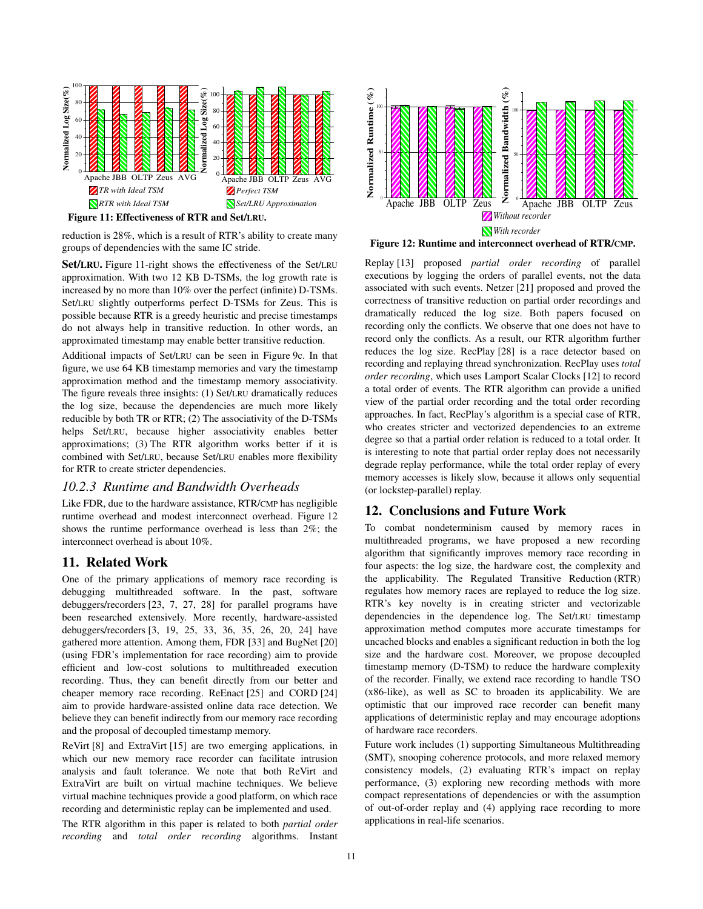

<span id="page-10-2"></span>reduction is 28%, which is a result of RTR's ability to create many groups of dependencies with the same IC stride.

**Set/LRU.** [Figure](#page-10-2) 11-right shows the effectiveness of the Set/LRU approximation. With two 12 KB D-TSMs, the log growth rate is increased by no more than 10% over the perfect (infinite) D-TSMs. Set/LRU slightly outperforms perfect D-TSMs for Zeus. This is possible because RTR is a greedy heuristic and precise timestamps do not always help in transitive reduction. In other words, an approximated timestamp may enable better transitive reduction.

Additional impacts of Set/LRU can be seen in [Figure](#page-9-7) 9c. In that figure, we use 64 KB timestamp memories and vary the timestamp approximation method and the timestamp memory associativity. The figure reveals three insights: (1) Set/LRU dramatically reduces the log size, because the dependencies are much more likely reducible by both TR or RTR; (2) The associativity of the D-TSMs helps Set/LRU, because higher associativity enables better approximations; (3) The RTR algorithm works better if it is combined with Set/LRU, because Set/LRU enables more flexibility for RTR to create stricter dependencies.

#### *10.2.3 Runtime and Bandwidth Overheads*

Like FDR, due to the hardware assistance, RTR/CMP has negligible runtime overhead and modest interconnect overhead. [Figure](#page-10-3) 12 shows the runtime performance overhead is less than 2%; the interconnect overhead is about 10%.

# <span id="page-10-0"></span>**11. Related Work**

One of the primary applications of memory race recording is debugging multithreaded software. In the past, software debuggers/recorders [23, 7, 27, 28] for parallel programs have been researched extensively. More recently, hardware-assisted debuggers/recorders [3, 19, 25, 33, 36, 35, 26, 20, 24] have gathered more attention. Among them, FDR [33] and BugNet [20] (using FDR's implementation for race recording) aim to provide efficient and low-cost solutions to multithreaded execution recording. Thus, they can benefit directly from our better and cheaper memory race recording. ReEnact [25] and CORD [24] aim to provide hardware-assisted online data race detection. We believe they can benefit indirectly from our memory race recording and the proposal of decoupled timestamp memory.

ReVirt [8] and ExtraVirt [15] are two emerging applications, in which our new memory race recorder can facilitate intrusion analysis and fault tolerance. We note that both ReVirt and ExtraVirt are built on virtual machine techniques. We believe virtual machine techniques provide a good platform, on which race recording and deterministic replay can be implemented and used.

The RTR algorithm in this paper is related to both *partial order recording* and *total order recording* algorithms. Instant



<span id="page-10-3"></span>Replay [13] proposed *partial order recording* of parallel executions by logging the orders of parallel events, not the data associated with such events. Netzer [21] proposed and proved the correctness of transitive reduction on partial order recordings and dramatically reduced the log size. Both papers focused on recording only the conflicts. We observe that one does not have to record only the conflicts. As a result, our RTR algorithm further reduces the log size. RecPlay [28] is a race detector based on recording and replaying thread synchronization. RecPlay uses *total order recording*, which uses Lamport Scalar Clocks [12] to record a total order of events. The RTR algorithm can provide a unified view of the partial order recording and the total order recording approaches. In fact, RecPlay's algorithm is a special case of RTR, who creates stricter and vectorized dependencies to an extreme degree so that a partial order relation is reduced to a total order. It is interesting to note that partial order replay does not necessarily degrade replay performance, while the total order replay of every memory accesses is likely slow, because it allows only sequential (or lockstep-parallel) replay.

# <span id="page-10-1"></span>**12. Conclusions and Future Work**

To combat nondeterminism caused by memory races in multithreaded programs, we have proposed a new recording algorithm that significantly improves memory race recording in four aspects: the log size, the hardware cost, the complexity and the applicability. The Regulated Transitive Reduction (RTR) regulates how memory races are replayed to reduce the log size. RTR's key novelty is in creating stricter and vectorizable dependencies in the dependence log. The Set/LRU timestamp approximation method computes more accurate timestamps for uncached blocks and enables a significant reduction in both the log size and the hardware cost. Moreover, we propose decoupled timestamp memory (D-TSM) to reduce the hardware complexity of the recorder. Finally, we extend race recording to handle TSO (x86-like), as well as SC to broaden its applicability. We are optimistic that our improved race recorder can benefit many applications of deterministic replay and may encourage adoptions of hardware race recorders.

Future work includes (1) supporting Simultaneous Multithreading (SMT), snooping coherence protocols, and more relaxed memory consistency models, (2) evaluating RTR's impact on replay performance, (3) exploring new recording methods with more compact representations of dependencies or with the assumption of out-of-order replay and (4) applying race recording to more applications in real-life scenarios.